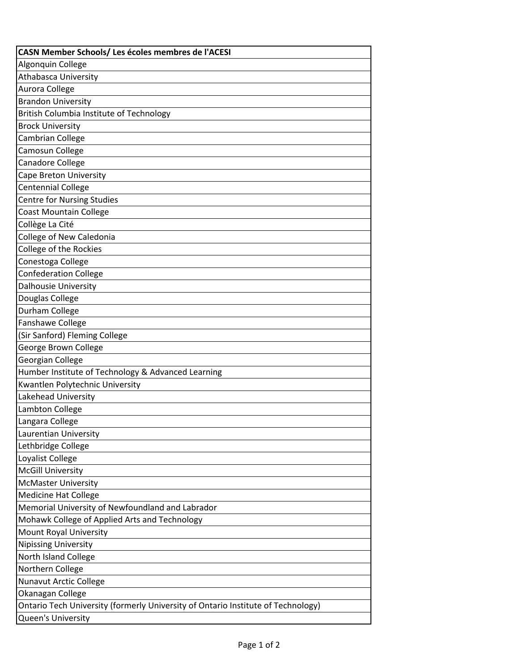| CASN Member Schools/ Les écoles membres de l'ACESI                               |
|----------------------------------------------------------------------------------|
| Algonquin College                                                                |
| <b>Athabasca University</b>                                                      |
| Aurora College                                                                   |
| <b>Brandon University</b>                                                        |
| <b>British Columbia Institute of Technology</b>                                  |
| <b>Brock University</b>                                                          |
| Cambrian College                                                                 |
| Camosun College                                                                  |
| <b>Canadore College</b>                                                          |
| Cape Breton University                                                           |
| <b>Centennial College</b>                                                        |
| <b>Centre for Nursing Studies</b>                                                |
| <b>Coast Mountain College</b>                                                    |
| Collège La Cité                                                                  |
| College of New Caledonia                                                         |
| College of the Rockies                                                           |
| Conestoga College                                                                |
| <b>Confederation College</b>                                                     |
| Dalhousie University                                                             |
| Douglas College                                                                  |
| Durham College                                                                   |
| Fanshawe College                                                                 |
| (Sir Sanford) Fleming College                                                    |
| George Brown College                                                             |
| Georgian College                                                                 |
| Humber Institute of Technology & Advanced Learning                               |
| Kwantlen Polytechnic University                                                  |
| Lakehead University                                                              |
| Lambton College                                                                  |
| Langara College                                                                  |
| Laurentian University                                                            |
| Lethbridge College                                                               |
| Loyalist College                                                                 |
| <b>McGill University</b>                                                         |
| <b>McMaster University</b>                                                       |
| <b>Medicine Hat College</b>                                                      |
| Memorial University of Newfoundland and Labrador                                 |
| Mohawk College of Applied Arts and Technology                                    |
| Mount Royal University                                                           |
| <b>Nipissing University</b>                                                      |
| North Island College                                                             |
| Northern College                                                                 |
| <b>Nunavut Arctic College</b>                                                    |
| Okanagan College                                                                 |
| Ontario Tech University (formerly University of Ontario Institute of Technology) |
| Queen's University                                                               |